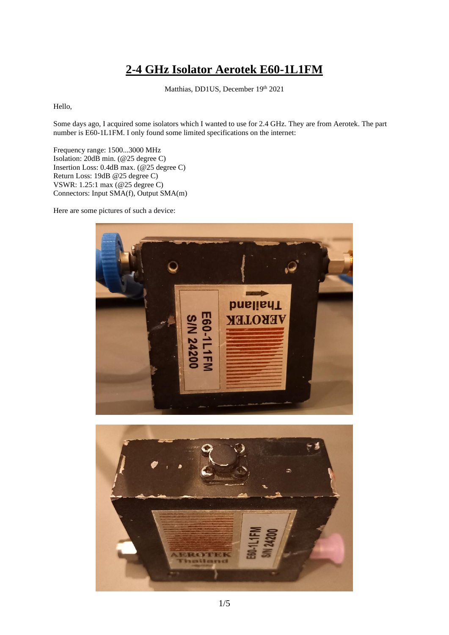## **2-4 GHz Isolator Aerotek E60-1L1FM**

Matthias, DD1US, December 19th 2021

Hello,

Some days ago, I acquired some isolators which I wanted to use for 2.4 GHz. They are from Aerotek. The part number is E60-1L1FM. I only found some limited specifications on the internet:

Frequency range: 1500...3000 MHz Isolation: 20dB min. (@25 degree C) Insertion Loss: 0.4dB max. (@25 degree C) Return Loss: 19dB @25 degree C) VSWR: 1.25:1 max (@25 degree C) Connectors: Input SMA(f), Output SMA(m)

Here are some pictures of such a device:



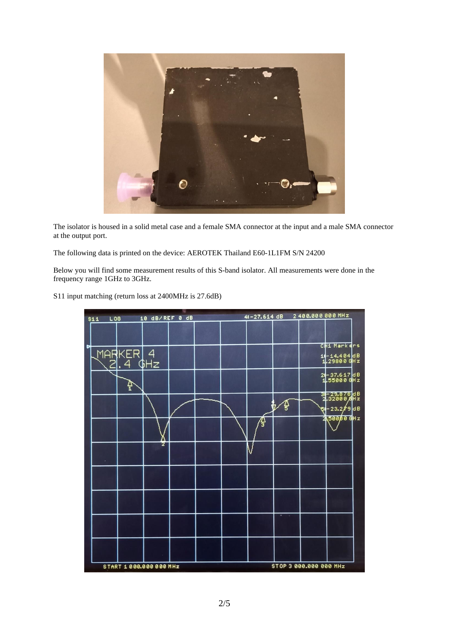

The isolator is housed in a solid metal case and a female SMA connector at the input and a male SMA connector at the output port.

The following data is printed on the device: AEROTEK Thailand E60-1L1FM S/N 24200

Below you will find some measurement results of this S-band isolator. All measurements were done in the frequency range 1GHz to 3GHz.

S11 input matching (return loss at 2400MHz is 27.6dB)

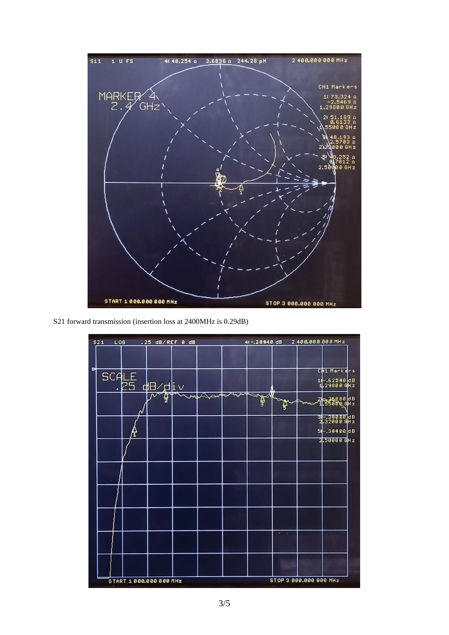

S21 forward transmission (insertion loss at 2400MHz is 0.29dB)

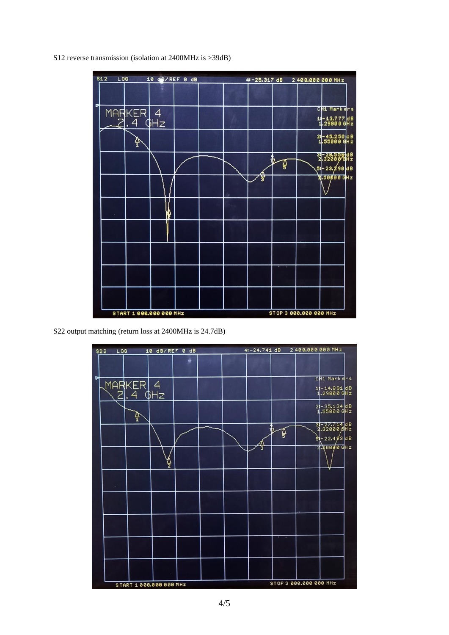S12 reverse transmission (isolation at 2400MHz is >39dB)



S22 output matching (return loss at 2400MHz is 24.7dB)